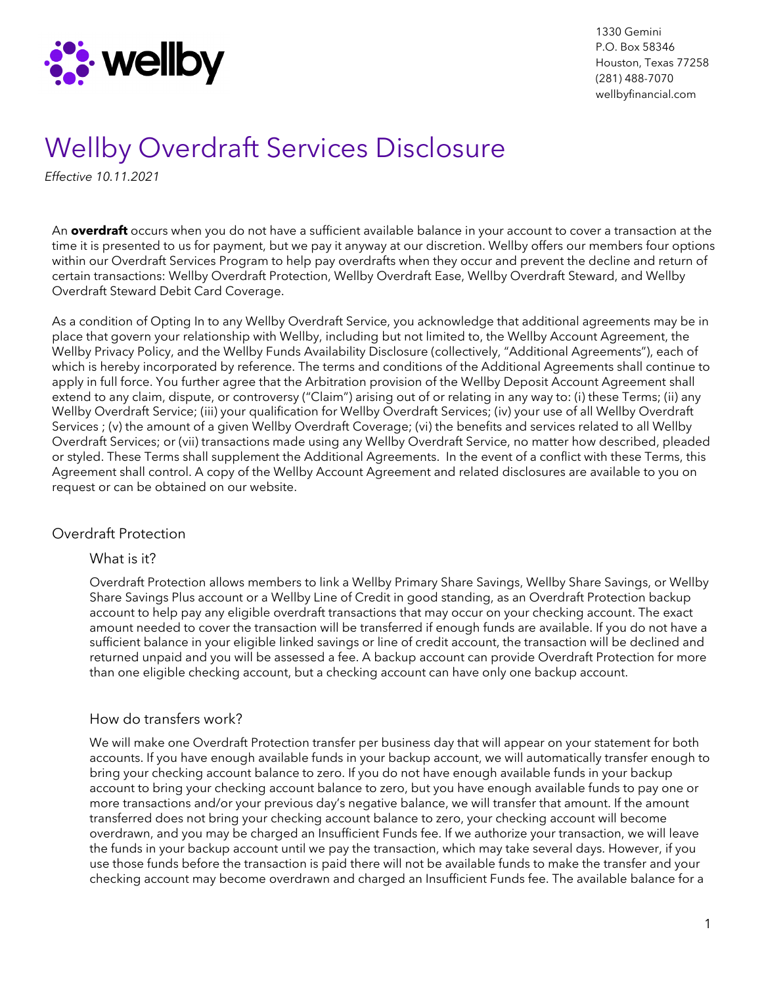

1330 Gemini P.O. Box 58346 Houston, Texas 77258 (281) 488-7070 wellbyfinancial.com

# Wellby Overdraft Services Disclosure

*Effective 10.11.2021*

An **overdraft** occurs when you do not have a sufficient available balance in your account to cover a transaction at the time it is presented to us for payment, but we pay it anyway at our discretion. Wellby offers our members four options within our Overdraft Services Program to help pay overdrafts when they occur and prevent the decline and return of certain transactions: Wellby Overdraft Protection, Wellby Overdraft Ease, Wellby Overdraft Steward, and Wellby Overdraft Steward Debit Card Coverage.

As a condition of Opting In to any Wellby Overdraft Service, you acknowledge that additional agreements may be in place that govern your relationship with Wellby, including but not limited to, the Wellby Account Agreement, the Wellby Privacy Policy, and the Wellby Funds Availability Disclosure (collectively, "Additional Agreements"), each of which is hereby incorporated by reference. The terms and conditions of the Additional Agreements shall continue to apply in full force. You further agree that the Arbitration provision of the Wellby Deposit Account Agreement shall extend to any claim, dispute, or controversy ("Claim") arising out of or relating in any way to: (i) these Terms; (ii) any Wellby Overdraft Service; (iii) your qualification for Wellby Overdraft Services; (iv) your use of all Wellby Overdraft Services ; (v) the amount of a given Wellby Overdraft Coverage; (vi) the benefits and services related to all Wellby Overdraft Services; or (vii) transactions made using any Wellby Overdraft Service, no matter how described, pleaded or styled. These Terms shall supplement the Additional Agreements. In the event of a conflict with these Terms, this Agreement shall control. A copy of the Wellby Account Agreement and related disclosures are available to you on request or can be obtained on our website.

#### Overdraft Protection

#### What is it?

Overdraft Protection allows members to link a Wellby Primary Share Savings, Wellby Share Savings, or Wellby Share Savings Plus account or a Wellby Line of Credit in good standing, as an Overdraft Protection backup account to help pay any eligible overdraft transactions that may occur on your checking account. The exact amount needed to cover the transaction will be transferred if enough funds are available. If you do not have a sufficient balance in your eligible linked savings or line of credit account, the transaction will be declined and returned unpaid and you will be assessed a fee. A backup account can provide Overdraft Protection for more than one eligible checking account, but a checking account can have only one backup account.

#### How do transfers work?

We will make one Overdraft Protection transfer per business day that will appear on your statement for both accounts. If you have enough available funds in your backup account, we will automatically transfer enough to bring your checking account balance to zero. If you do not have enough available funds in your backup account to bring your checking account balance to zero, but you have enough available funds to pay one or more transactions and/or your previous day's negative balance, we will transfer that amount. If the amount transferred does not bring your checking account balance to zero, your checking account will become overdrawn, and you may be charged an Insufficient Funds fee. If we authorize your transaction, we will leave the funds in your backup account until we pay the transaction, which may take several days. However, if you use those funds before the transaction is paid there will not be available funds to make the transfer and your checking account may become overdrawn and charged an Insufficient Funds fee. The available balance for a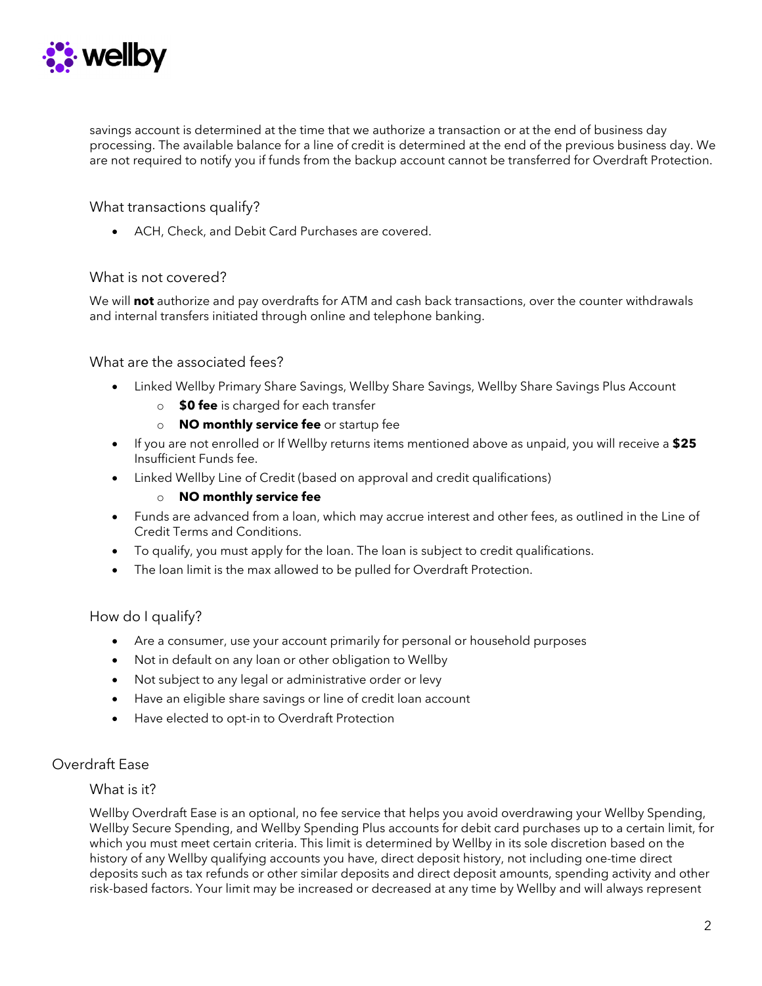

savings account is determined at the time that we authorize a transaction or at the end of business day processing. The available balance for a line of credit is determined at the end of the previous business day. We are not required to notify you if funds from the backup account cannot be transferred for Overdraft Protection.

What transactions qualify?

• ACH, Check, and Debit Card Purchases are covered.

#### What is not covered?

We will **not** authorize and pay overdrafts for ATM and cash back transactions, over the counter withdrawals and internal transfers initiated through online and telephone banking.

#### What are the associated fees?

- Linked Wellby Primary Share Savings, Wellby Share Savings, Wellby Share Savings Plus Account
	- o **\$0 fee** is charged for each transfer
	- o **NO monthly service fee** or startup fee
- If you are not enrolled or If Wellby returns items mentioned above as unpaid, you will receive a **\$25** Insufficient Funds fee.
- Linked Wellby Line of Credit (based on approval and credit qualifications)

#### o **NO monthly service fee**

- Funds are advanced from a loan, which may accrue interest and other fees, as outlined in the Line of Credit Terms and Conditions.
- To qualify, you must apply for the loan. The loan is subject to credit qualifications.
- The loan limit is the max allowed to be pulled for Overdraft Protection.

#### How do I qualify?

- Are a consumer, use your account primarily for personal or household purposes
- Not in default on any loan or other obligation to Wellby
- Not subject to any legal or administrative order or levy
- Have an eligible share savings or line of credit loan account
- Have elected to opt-in to Overdraft Protection

#### Overdraft Ease

#### What is it?

Wellby Overdraft Ease is an optional, no fee service that helps you avoid overdrawing your Wellby Spending, Wellby Secure Spending, and Wellby Spending Plus accounts for debit card purchases up to a certain limit, for which you must meet certain criteria. This limit is determined by Wellby in its sole discretion based on the history of any Wellby qualifying accounts you have, direct deposit history, not including one-time direct deposits such as tax refunds or other similar deposits and direct deposit amounts, spending activity and other risk-based factors. Your limit may be increased or decreased at any time by Wellby and will always represent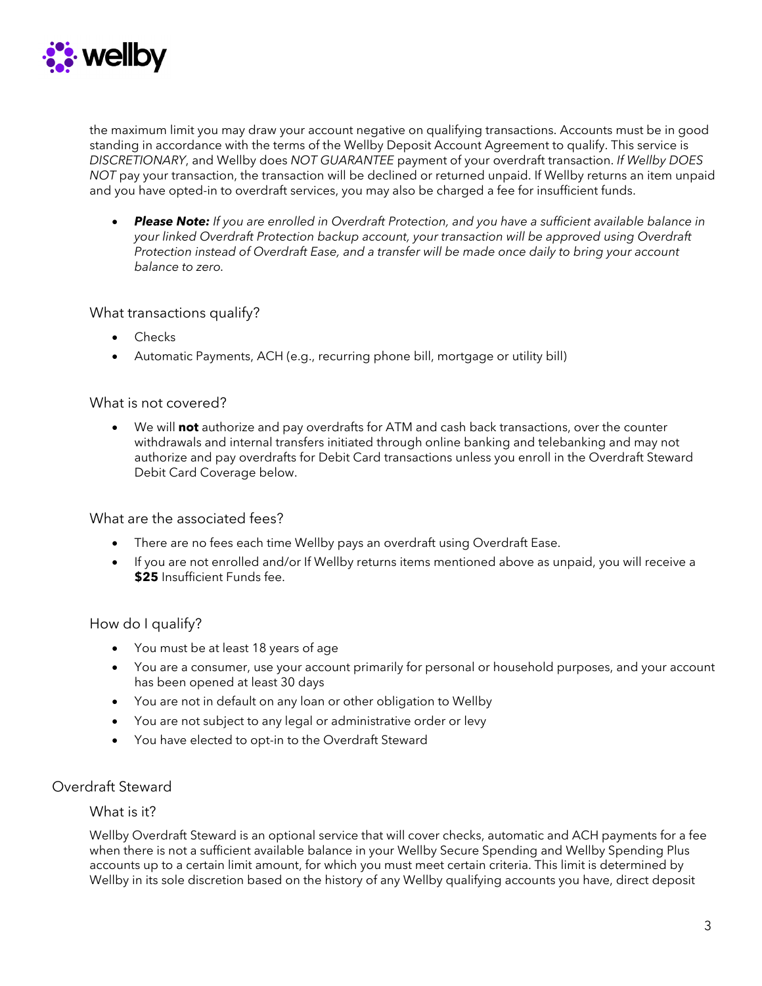

the maximum limit you may draw your account negative on qualifying transactions. Accounts must be in good standing in accordance with the terms of the Wellby Deposit Account Agreement to qualify. This service is *DISCRETIONARY*, and Wellby does *NOT GUARANTEE* payment of your overdraft transaction. *If Wellby DOES NOT* pay your transaction, the transaction will be declined or returned unpaid. If Wellby returns an item unpaid and you have opted-in to overdraft services, you may also be charged a fee for insufficient funds.

• *Please Note: If you are enrolled in Overdraft Protection, and you have a sufficient available balance in your linked Overdraft Protection backup account, your transaction will be approved using Overdraft Protection instead of Overdraft Ease, and a transfer will be made once daily to bring your account balance to zero.*

#### What transactions qualify?

- Checks
- Automatic Payments, ACH (e.g., recurring phone bill, mortgage or utility bill)

#### What is not covered?

• We will **not** authorize and pay overdrafts for ATM and cash back transactions, over the counter withdrawals and internal transfers initiated through online banking and telebanking and may not authorize and pay overdrafts for Debit Card transactions unless you enroll in the Overdraft Steward Debit Card Coverage below.

#### What are the associated fees?

- There are no fees each time Wellby pays an overdraft using Overdraft Ease.
- If you are not enrolled and/or If Wellby returns items mentioned above as unpaid, you will receive a **\$25** Insufficient Funds fee.

#### How do I qualify?

- You must be at least 18 years of age
- You are a consumer, use your account primarily for personal or household purposes, and your account has been opened at least 30 days
- You are not in default on any loan or other obligation to Wellby
- You are not subject to any legal or administrative order or levy
- You have elected to opt-in to the Overdraft Steward

#### Overdraft Steward

#### What is it?

Wellby Overdraft Steward is an optional service that will cover checks, automatic and ACH payments for a fee when there is not a sufficient available balance in your Wellby Secure Spending and Wellby Spending Plus accounts up to a certain limit amount, for which you must meet certain criteria. This limit is determined by Wellby in its sole discretion based on the history of any Wellby qualifying accounts you have, direct deposit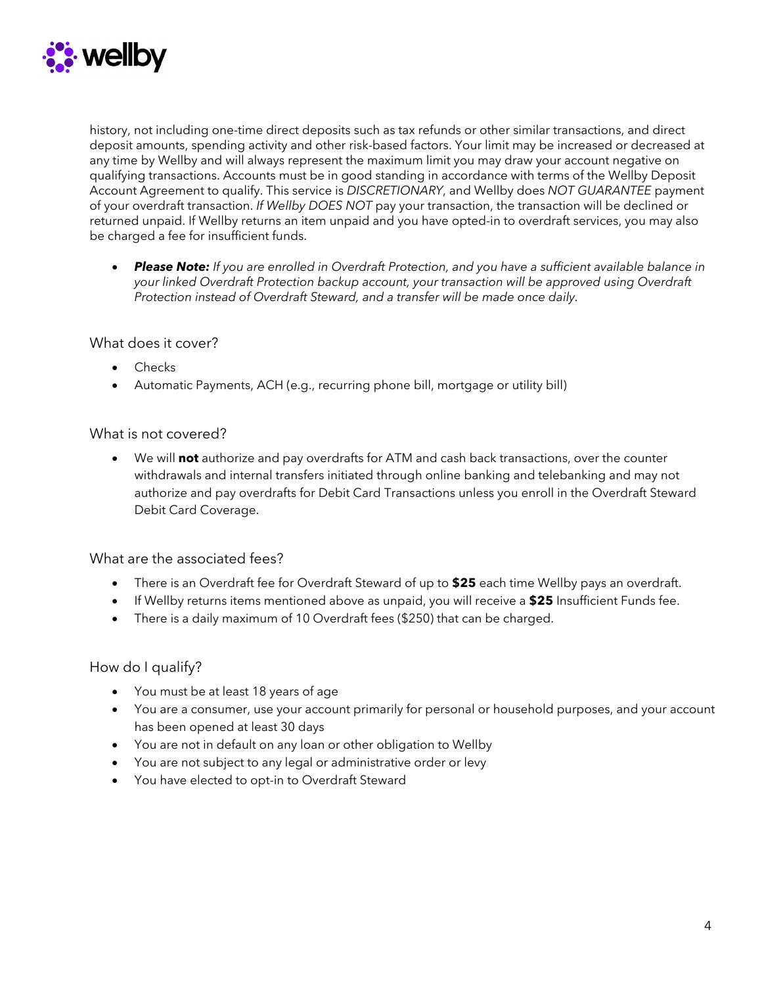

history, not including one-time direct deposits such as tax refunds or other similar transactions, and direct deposit amounts, spending activity and other risk-based factors. Your limit may be increased or decreased at any time by Wellby and will always represent the maximum limit you may draw your account negative on qualifying transactions. Accounts must be in good standing in accordance with terms of the Wellby Deposit Account Agreement to qualify. This service is *DISCRETIONARY*, and Wellby does *NOT GUARANTEE* payment of your overdraft transaction. *If Wellby DOES NOT* pay your transaction, the transaction will be declined or returned unpaid. If Wellby returns an item unpaid and you have opted-in to overdraft services, you may also be charged a fee for insufficient funds.

• *Please Note: If you are enrolled in Overdraft Protection, and you have a sufficient available balance in your linked Overdraft Protection backup account, your transaction will be approved using Overdraft Protection instead of Overdraft Steward, and a transfer will be made once daily.*

#### What does it cover?

- Checks
- Automatic Payments, ACH (e.g., recurring phone bill, mortgage or utility bill)

#### What is not covered?

• We will **not** authorize and pay overdrafts for ATM and cash back transactions, over the counter withdrawals and internal transfers initiated through online banking and telebanking and may not authorize and pay overdrafts for Debit Card Transactions unless you enroll in the Overdraft Steward Debit Card Coverage.

#### What are the associated fees?

- There is an Overdraft fee for Overdraft Steward of up to **\$25** each time Wellby pays an overdraft.
- If Wellby returns items mentioned above as unpaid, you will receive a **\$25** Insufficient Funds fee.
- There is a daily maximum of 10 Overdraft fees (\$250) that can be charged.

#### How do I qualify?

- You must be at least 18 years of age
- You are a consumer, use your account primarily for personal or household purposes, and your account has been opened at least 30 days
- You are not in default on any loan or other obligation to Wellby
- You are not subject to any legal or administrative order or levy
- You have elected to opt-in to Overdraft Steward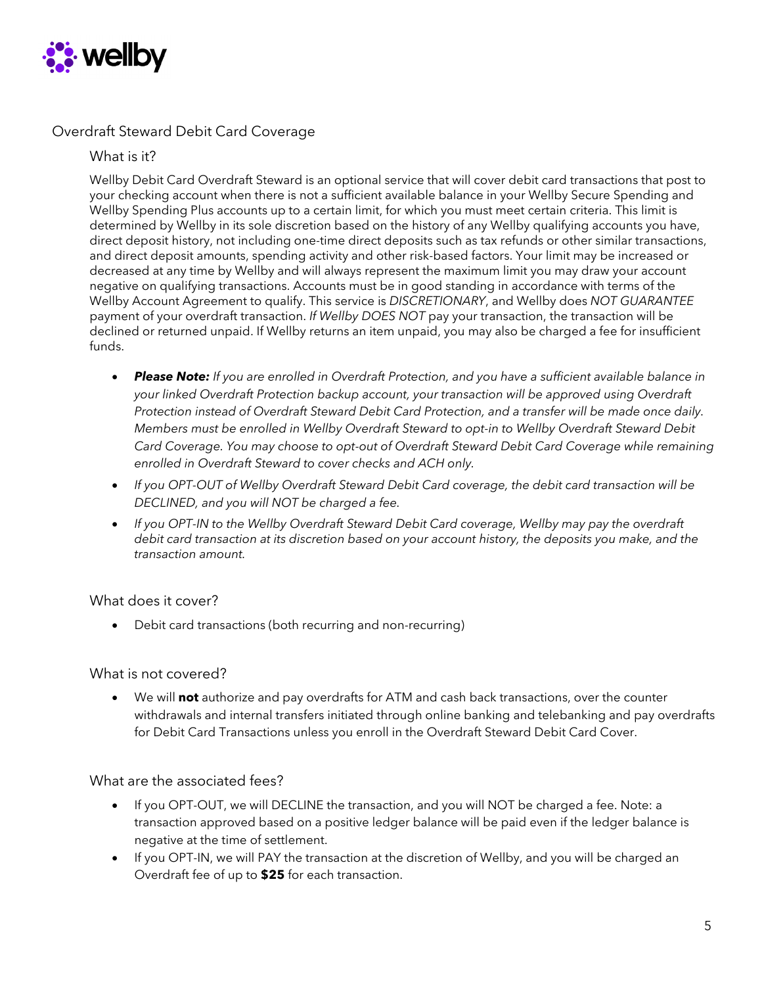

#### Overdraft Steward Debit Card Coverage

What is it?

Wellby Debit Card Overdraft Steward is an optional service that will cover debit card transactions that post to your checking account when there is not a sufficient available balance in your Wellby Secure Spending and Wellby Spending Plus accounts up to a certain limit, for which you must meet certain criteria. This limit is determined by Wellby in its sole discretion based on the history of any Wellby qualifying accounts you have, direct deposit history, not including one-time direct deposits such as tax refunds or other similar transactions, and direct deposit amounts, spending activity and other risk-based factors. Your limit may be increased or decreased at any time by Wellby and will always represent the maximum limit you may draw your account negative on qualifying transactions. Accounts must be in good standing in accordance with terms of the Wellby Account Agreement to qualify. This service is *DISCRETIONARY*, and Wellby does *NOT GUARANTEE* payment of your overdraft transaction. *If Wellby DOES NOT* pay your transaction, the transaction will be declined or returned unpaid. If Wellby returns an item unpaid, you may also be charged a fee for insufficient funds.

- *Please Note: If you are enrolled in Overdraft Protection, and you have a sufficient available balance in your linked Overdraft Protection backup account, your transaction will be approved using Overdraft Protection instead of Overdraft Steward Debit Card Protection, and a transfer will be made once daily. Members must be enrolled in Wellby Overdraft Steward to opt-in to Wellby Overdraft Steward Debit Card Coverage. You may choose to opt-out of Overdraft Steward Debit Card Coverage while remaining enrolled in Overdraft Steward to cover checks and ACH only.*
- *If you OPT-OUT of Wellby Overdraft Steward Debit Card coverage, the debit card transaction will be DECLINED, and you will NOT be charged a fee.*
- *If you OPT-IN to the Wellby Overdraft Steward Debit Card coverage, Wellby may pay the overdraft debit card transaction at its discretion based on your account history, the deposits you make, and the transaction amount.*

#### What does it cover?

• Debit card transactions (both recurring and non-recurring)

#### What is not covered?

• We will **not** authorize and pay overdrafts for ATM and cash back transactions, over the counter withdrawals and internal transfers initiated through online banking and telebanking and pay overdrafts for Debit Card Transactions unless you enroll in the Overdraft Steward Debit Card Cover.

#### What are the associated fees?

- If you OPT-OUT, we will DECLINE the transaction, and you will NOT be charged a fee. Note: a transaction approved based on a positive ledger balance will be paid even if the ledger balance is negative at the time of settlement.
- If you OPT-IN, we will PAY the transaction at the discretion of Wellby, and you will be charged an Overdraft fee of up to **\$25** for each transaction.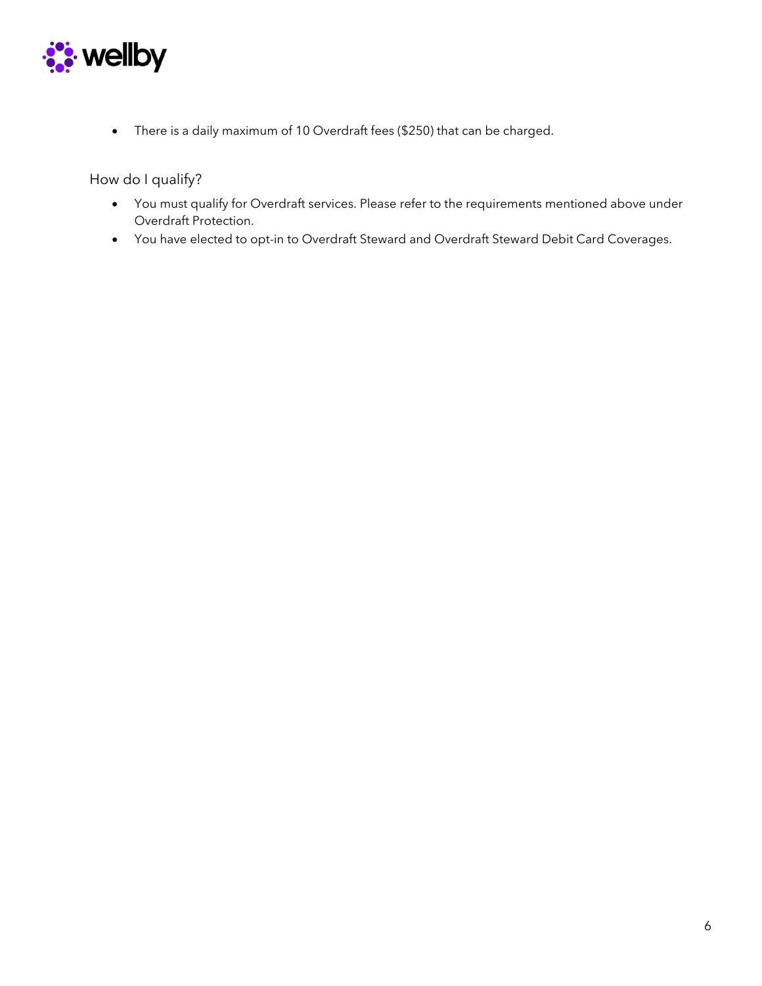

• There is a daily maximum of 10 Overdraft fees (\$250) that can be charged.

How do I qualify?

- You must qualify for Overdraft services. Please refer to the requirements mentioned above under Overdraft Protection.
- You have elected to opt-in to Overdraft Steward and Overdraft Steward Debit Card Coverages.